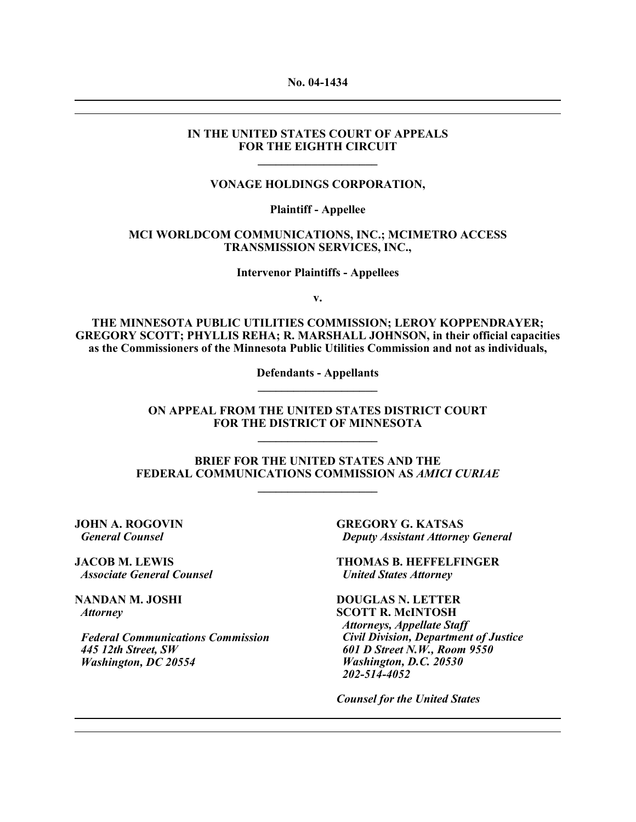**No. 04-1434**

#### **IN THE UNITED STATES COURT OF APPEALS FOR THE EIGHTH CIRCUIT \_\_\_\_\_\_\_\_\_\_\_\_\_\_\_\_\_\_\_\_**

#### **VONAGE HOLDINGS CORPORATION,**

#### **Plaintiff - Appellee**

#### **MCI WORLDCOM COMMUNICATIONS, INC.; MCIMETRO ACCESS TRANSMISSION SERVICES, INC.,**

**Intervenor Plaintiffs - Appellees**

**v.**

**THE MINNESOTA PUBLIC UTILITIES COMMISSION; LEROY KOPPENDRAYER; GREGORY SCOTT; PHYLLIS REHA; R. MARSHALL JOHNSON, in their official capacities as the Commissioners of the Minnesota Public Utilities Commission and not as individuals,**

> **Defendants - Appellants \_\_\_\_\_\_\_\_\_\_\_\_\_\_\_\_\_\_\_\_**

**ON APPEAL FROM THE UNITED STATES DISTRICT COURT FOR THE DISTRICT OF MINNESOTA \_\_\_\_\_\_\_\_\_\_\_\_\_\_\_\_\_\_\_\_**

**BRIEF FOR THE UNITED STATES AND THE FEDERAL COMMUNICATIONS COMMISSION AS** *AMICI CURIAE* **\_\_\_\_\_\_\_\_\_\_\_\_\_\_\_\_\_\_\_\_**

**JOHN A. ROGOVIN** *General Counsel*

**JACOB M. LEWIS** *Associate General Counsel*

**NANDAN M. JOSHI** *Attorney*

*Federal Communications Commission 445 12th Street, SW Washington, DC 20554* 

**GREGORY G. KATSAS** *Deputy Assistant Attorney General*

**THOMAS B. HEFFELFINGER** *United States Attorney*

**DOUGLAS N. LETTER SCOTT R. McINTOSH** *Attorneys, Appellate Staff Civil Division, Department of Justice 601 D Street N.W., Room 9550 Washington, D.C. 20530* *202-514-4052*

*Counsel for the United States*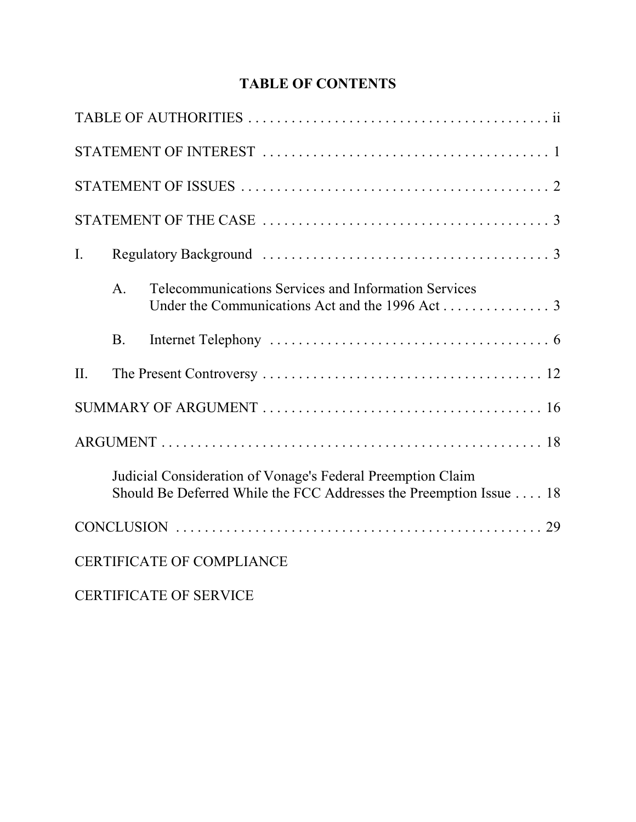# **TABLE OF CONTENTS**

| $\mathbf{I}$ . |                |                                                                                                                                    |  |  |
|----------------|----------------|------------------------------------------------------------------------------------------------------------------------------------|--|--|
|                | $\mathbf{A}$ . | <b>Telecommunications Services and Information Services</b><br>Under the Communications Act and the 1996 Act 3                     |  |  |
|                | <b>B</b> .     |                                                                                                                                    |  |  |
| II.            |                |                                                                                                                                    |  |  |
|                |                |                                                                                                                                    |  |  |
|                |                |                                                                                                                                    |  |  |
|                |                | Judicial Consideration of Vonage's Federal Preemption Claim<br>Should Be Deferred While the FCC Addresses the Preemption Issue  18 |  |  |
|                |                |                                                                                                                                    |  |  |
|                |                | <b>CERTIFICATE OF COMPLIANCE</b>                                                                                                   |  |  |
|                |                | <b>CERTIFICATE OF SERVICE</b>                                                                                                      |  |  |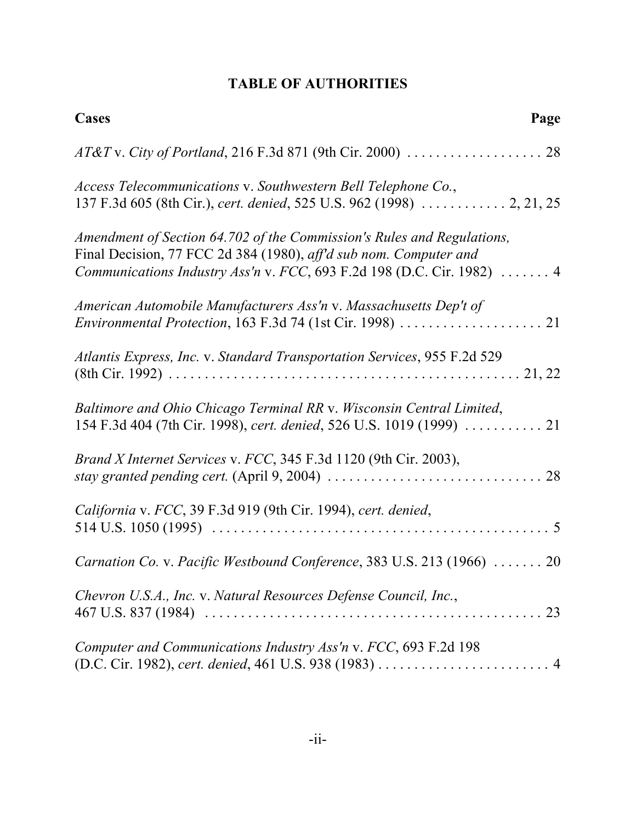# **TABLE OF AUTHORITIES**

| <b>Cases</b><br>Page                                                                                                                                                                                                  |
|-----------------------------------------------------------------------------------------------------------------------------------------------------------------------------------------------------------------------|
|                                                                                                                                                                                                                       |
| Access Telecommunications v. Southwestern Bell Telephone Co.,                                                                                                                                                         |
| Amendment of Section 64.702 of the Commission's Rules and Regulations,<br>Final Decision, 77 FCC 2d 384 (1980), aff'd sub nom. Computer and<br>Communications Industry Ass'n v. FCC, 693 F.2d 198 (D.C. Cir. 1982)  4 |
| American Automobile Manufacturers Ass'n v. Massachusetts Dep't of<br><i>Environmental Protection, 163 F.3d 74 (1st Cir. 1998) </i> 21                                                                                 |
| Atlantis Express, Inc. v. Standard Transportation Services, 955 F.2d 529                                                                                                                                              |
| Baltimore and Ohio Chicago Terminal RR v. Wisconsin Central Limited,<br>154 F.3d 404 (7th Cir. 1998), cert. denied, 526 U.S. 1019 (1999)  21                                                                          |
| Brand X Internet Services v. FCC, 345 F.3d 1120 (9th Cir. 2003),<br>28                                                                                                                                                |
| California v. FCC, 39 F.3d 919 (9th Cir. 1994), cert. denied,                                                                                                                                                         |
| <i>Carnation Co. v. Pacific Westbound Conference, 383 U.S. 213 (1966)</i> $\ldots \ldots 20$                                                                                                                          |
| Chevron U.S.A., Inc. v. Natural Resources Defense Council, Inc.,<br>23                                                                                                                                                |
| Computer and Communications Industry Ass'n v. FCC, 693 F.2d 198                                                                                                                                                       |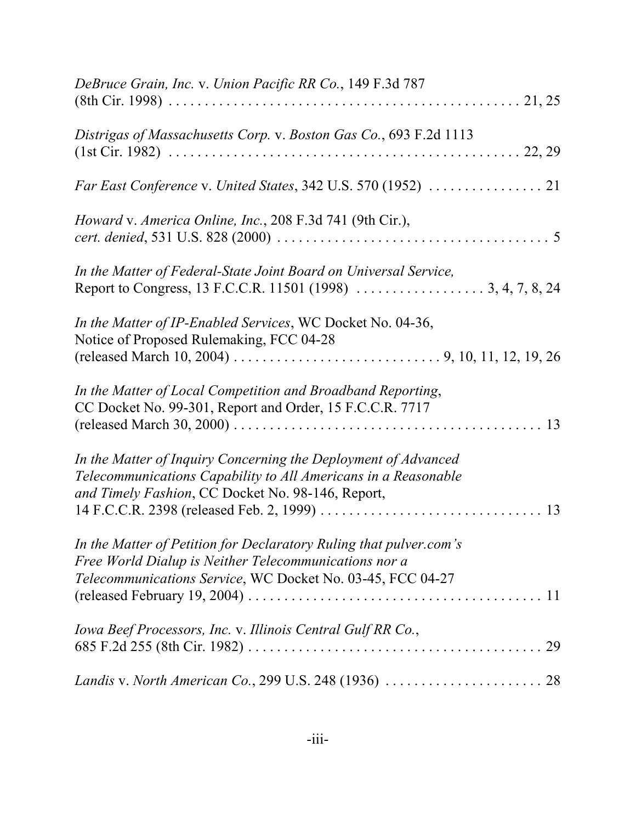| DeBruce Grain, Inc. v. Union Pacific RR Co., 149 F.3d 787                                                                                                                                                                            |
|--------------------------------------------------------------------------------------------------------------------------------------------------------------------------------------------------------------------------------------|
| Distrigas of Massachusetts Corp. v. Boston Gas Co., 693 F.2d 1113                                                                                                                                                                    |
|                                                                                                                                                                                                                                      |
| Howard v. America Online, Inc., 208 F.3d 741 (9th Cir.),                                                                                                                                                                             |
| In the Matter of Federal-State Joint Board on Universal Service,                                                                                                                                                                     |
| In the Matter of IP-Enabled Services, WC Docket No. 04-36,<br>Notice of Proposed Rulemaking, FCC 04-28                                                                                                                               |
| In the Matter of Local Competition and Broadband Reporting,<br>CC Docket No. 99-301, Report and Order, 15 F.C.C.R. 7717                                                                                                              |
| In the Matter of Inquiry Concerning the Deployment of Advanced<br>Telecommunications Capability to All Americans in a Reasonable<br>and Timely Fashion, CC Docket No. 98-146, Report,                                                |
| In the Matter of Petition for Declaratory Ruling that pulver.com's<br>Free World Dialup is Neither Telecommunications nor a<br>Telecommunications Service, WC Docket No. 03-45, FCC 04-27<br>$(released \nFebruary 19, 2004) \n1.11$ |
| Iowa Beef Processors, Inc. v. Illinois Central Gulf RR Co.,<br>29                                                                                                                                                                    |
|                                                                                                                                                                                                                                      |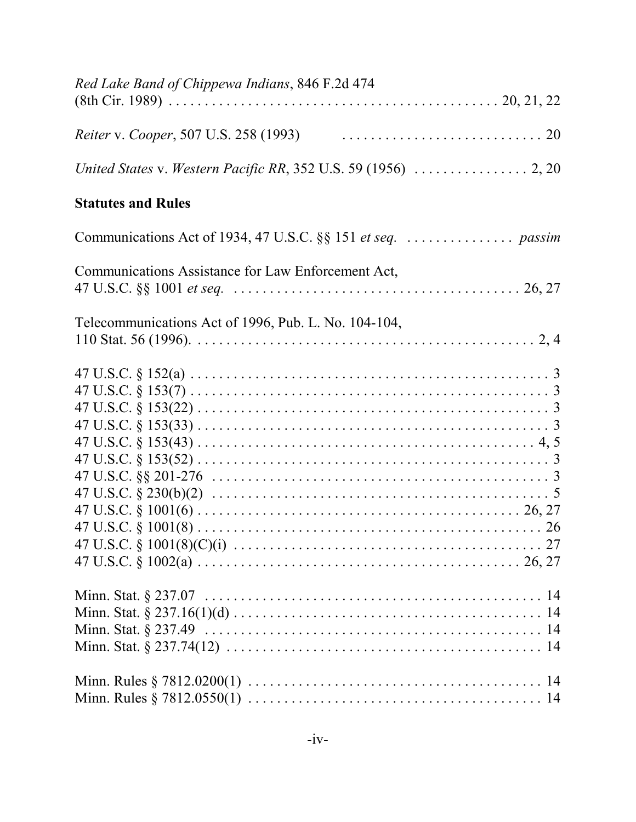| Red Lake Band of Chippewa Indians, 846 F.2d 474      |
|------------------------------------------------------|
|                                                      |
|                                                      |
| <b>Statutes and Rules</b>                            |
|                                                      |
| Communications Assistance for Law Enforcement Act,   |
| Telecommunications Act of 1996, Pub. L. No. 104-104, |
|                                                      |
|                                                      |
|                                                      |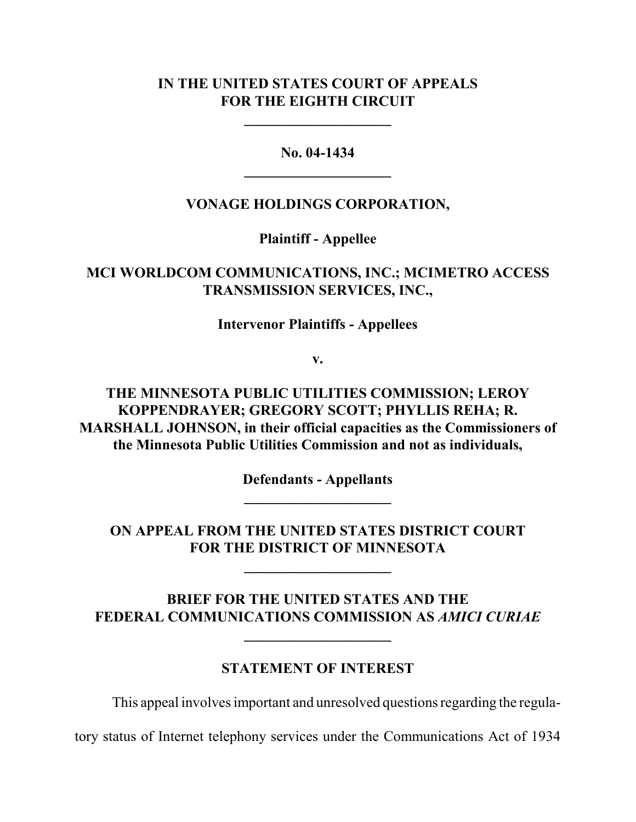### **IN THE UNITED STATES COURT OF APPEALS FOR THE EIGHTH CIRCUIT**

**\_\_\_\_\_\_\_\_\_\_\_\_\_\_\_\_\_\_\_\_**

**No. 04-1434 \_\_\_\_\_\_\_\_\_\_\_\_\_\_\_\_\_\_\_\_**

### **VONAGE HOLDINGS CORPORATION,**

**Plaintiff - Appellee**

## **MCI WORLDCOM COMMUNICATIONS, INC.; MCIMETRO ACCESS TRANSMISSION SERVICES, INC.,**

**Intervenor Plaintiffs - Appellees**

**v.**

**THE MINNESOTA PUBLIC UTILITIES COMMISSION; LEROY KOPPENDRAYER; GREGORY SCOTT; PHYLLIS REHA; R. MARSHALL JOHNSON, in their official capacities as the Commissioners of the Minnesota Public Utilities Commission and not as individuals,**

**Defendants - Appellants**

**ON APPEAL FROM THE UNITED STATES DISTRICT COURT FOR THE DISTRICT OF MINNESOTA**

**\_\_\_\_\_\_\_\_\_\_\_\_\_\_\_\_\_\_\_\_**

**BRIEF FOR THE UNITED STATES AND THE FEDERAL COMMUNICATIONS COMMISSION AS** *AMICI CURIAE*

**\_\_\_\_\_\_\_\_\_\_\_\_\_\_\_\_\_\_\_\_**

### **STATEMENT OF INTEREST**

This appeal involves important and unresolved questions regarding the regula-

tory status of Internet telephony services under the Communications Act of 1934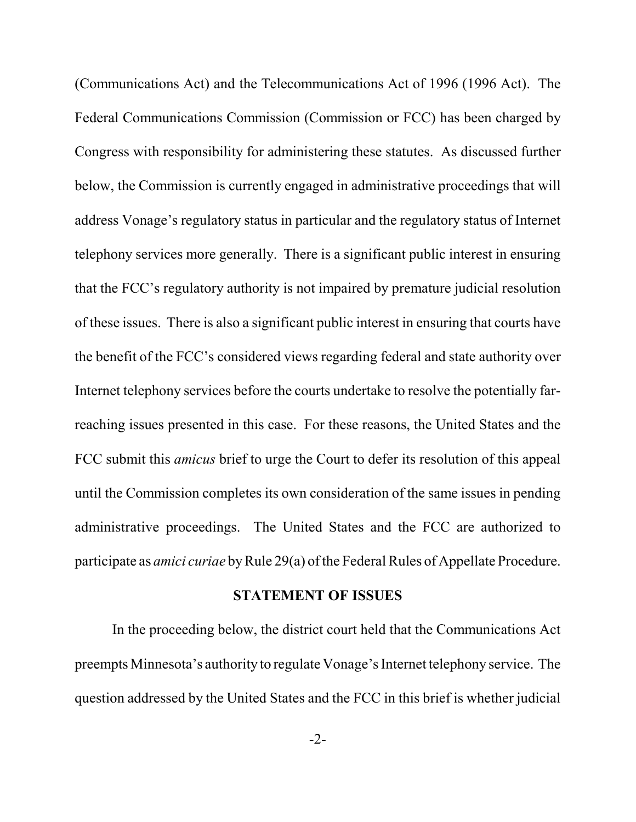(Communications Act) and the Telecommunications Act of 1996 (1996 Act). The Federal Communications Commission (Commission or FCC) has been charged by Congress with responsibility for administering these statutes. As discussed further below, the Commission is currently engaged in administrative proceedings that will address Vonage's regulatory status in particular and the regulatory status of Internet telephony services more generally. There is a significant public interest in ensuring that the FCC's regulatory authority is not impaired by premature judicial resolution of these issues. There is also a significant public interest in ensuring that courts have the benefit of the FCC's considered views regarding federal and state authority over Internet telephony services before the courts undertake to resolve the potentially farreaching issues presented in this case. For these reasons, the United States and the FCC submit this *amicus* brief to urge the Court to defer its resolution of this appeal until the Commission completes its own consideration of the same issues in pending administrative proceedings. The United States and the FCC are authorized to participate as *amici curiae* by Rule 29(a) of the Federal Rules of Appellate Procedure.

#### **STATEMENT OF ISSUES**

In the proceeding below, the district court held that the Communications Act preempts Minnesota's authority to regulate Vonage's Internet telephony service. The question addressed by the United States and the FCC in this brief is whether judicial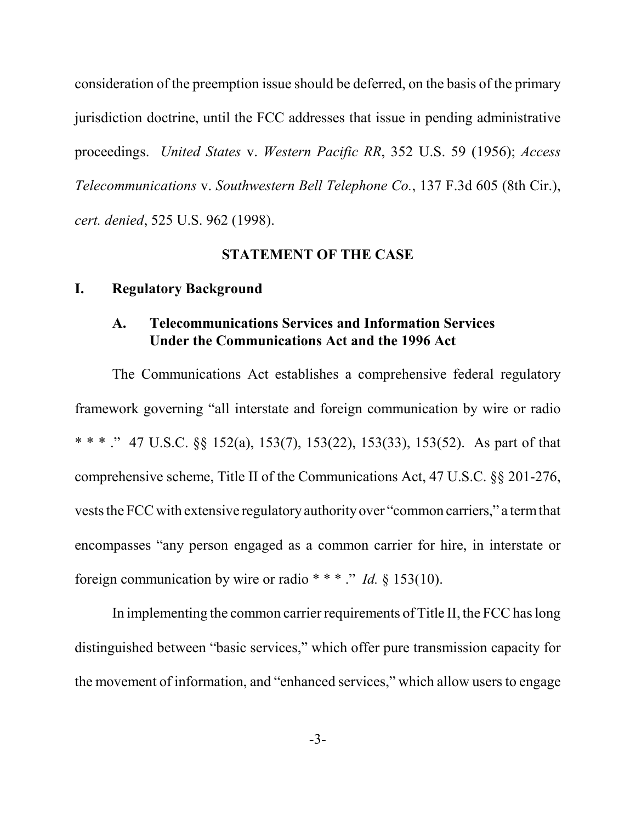consideration of the preemption issue should be deferred, on the basis of the primary jurisdiction doctrine, until the FCC addresses that issue in pending administrative proceedings. *United States* v. *Western Pacific RR*, 352 U.S. 59 (1956); *Access Telecommunications* v. *Southwestern Bell Telephone Co.*, 137 F.3d 605 (8th Cir.), *cert. denied*, 525 U.S. 962 (1998).

#### **STATEMENT OF THE CASE**

#### **I. Regulatory Background**

### **A. Telecommunications Services and Information Services Under the Communications Act and the 1996 Act**

The Communications Act establishes a comprehensive federal regulatory framework governing "all interstate and foreign communication by wire or radio \* \* \* ." 47 U.S.C. §§ 152(a), 153(7), 153(22), 153(33), 153(52). As part of that comprehensive scheme, Title II of the Communications Act, 47 U.S.C. §§ 201-276, vests the FCC with extensive regulatory authority over "common carriers," a term that encompasses "any person engaged as a common carrier for hire, in interstate or foreign communication by wire or radio \* \* \* ." *Id.* § 153(10).

In implementing the common carrier requirements of Title II, the FCC has long distinguished between "basic services," which offer pure transmission capacity for the movement of information, and "enhanced services," which allow users to engage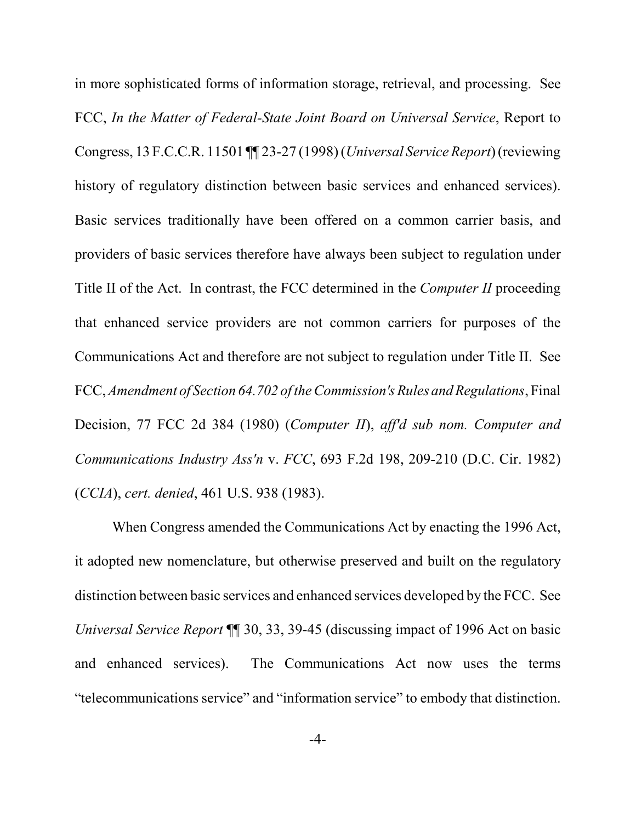in more sophisticated forms of information storage, retrieval, and processing. See FCC, *In the Matter of Federal-State Joint Board on Universal Service*, Report to Congress, 13 F.C.C.R. 11501 ¶¶ 23-27 (1998) (*Universal Service Report*) (reviewing history of regulatory distinction between basic services and enhanced services). Basic services traditionally have been offered on a common carrier basis, and providers of basic services therefore have always been subject to regulation under Title II of the Act. In contrast, the FCC determined in the *Computer II* proceeding that enhanced service providers are not common carriers for purposes of the Communications Act and therefore are not subject to regulation under Title II. See FCC, *Amendment of Section 64.702 of the Commission's Rules and Regulations*, Final Decision, 77 FCC 2d 384 (1980) (*Computer II*), *aff'd sub nom. Computer and Communications Industry Ass'n* v. *FCC*, 693 F.2d 198, 209-210 (D.C. Cir. 1982) (*CCIA*), *cert. denied*, 461 U.S. 938 (1983).

When Congress amended the Communications Act by enacting the 1996 Act, it adopted new nomenclature, but otherwise preserved and built on the regulatory distinction between basic services and enhanced services developed by the FCC. See *Universal Service Report* ¶¶ 30, 33, 39-45 (discussing impact of 1996 Act on basic and enhanced services). The Communications Act now uses the terms "telecommunications service" and "information service" to embody that distinction.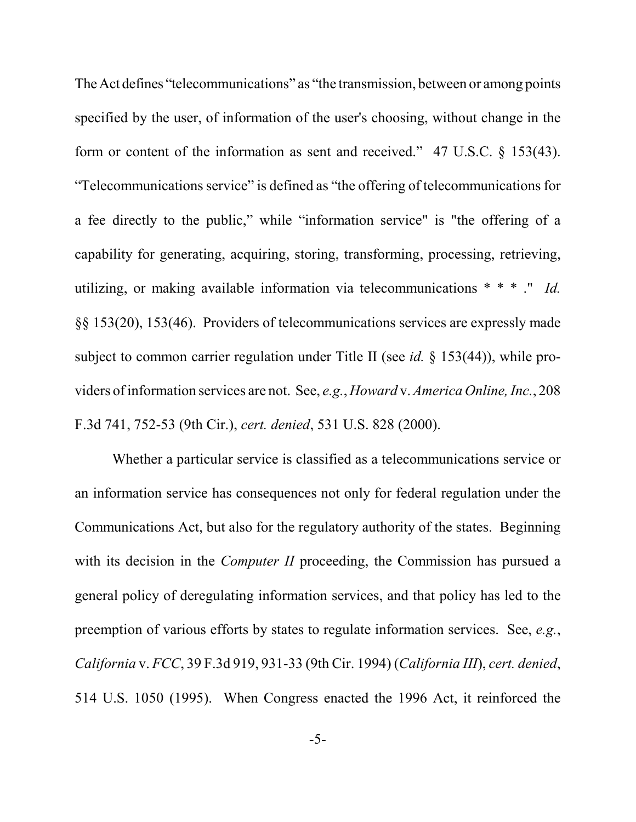The Act defines "telecommunications" as "the transmission, between or among points specified by the user, of information of the user's choosing, without change in the form or content of the information as sent and received." 47 U.S.C. § 153(43). "Telecommunications service" is defined as "the offering of telecommunications for a fee directly to the public," while "information service" is "the offering of a capability for generating, acquiring, storing, transforming, processing, retrieving, utilizing, or making available information via telecommunications \* \* \* ." *Id.* §§ 153(20), 153(46). Providers of telecommunications services are expressly made subject to common carrier regulation under Title II (see *id.* § 153(44)), while providers of information services are not. See, *e.g.*, *Howard* v. *America Online, Inc.*, 208 F.3d 741, 752-53 (9th Cir.), *cert. denied*, 531 U.S. 828 (2000).

Whether a particular service is classified as a telecommunications service or an information service has consequences not only for federal regulation under the Communications Act, but also for the regulatory authority of the states. Beginning with its decision in the *Computer II* proceeding, the Commission has pursued a general policy of deregulating information services, and that policy has led to the preemption of various efforts by states to regulate information services. See, *e.g.*, *California* v. *FCC*, 39 F.3d 919, 931-33 (9th Cir. 1994) (*California III*), *cert. denied*, 514 U.S. 1050 (1995). When Congress enacted the 1996 Act, it reinforced the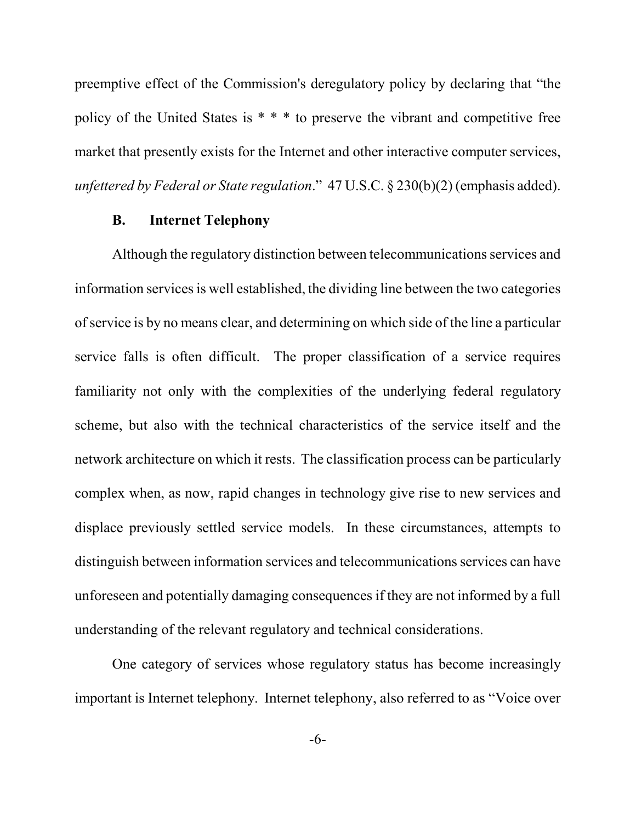preemptive effect of the Commission's deregulatory policy by declaring that "the policy of the United States is \* \* \* to preserve the vibrant and competitive free market that presently exists for the Internet and other interactive computer services, *unfettered by Federal or State regulation*." 47 U.S.C. § 230(b)(2) (emphasis added).

### **B. Internet Telephony**

Although the regulatory distinction between telecommunications services and information services is well established, the dividing line between the two categories of service is by no means clear, and determining on which side of the line a particular service falls is often difficult. The proper classification of a service requires familiarity not only with the complexities of the underlying federal regulatory scheme, but also with the technical characteristics of the service itself and the network architecture on which it rests. The classification process can be particularly complex when, as now, rapid changes in technology give rise to new services and displace previously settled service models. In these circumstances, attempts to distinguish between information services and telecommunications services can have unforeseen and potentially damaging consequences if they are not informed by a full understanding of the relevant regulatory and technical considerations.

One category of services whose regulatory status has become increasingly important is Internet telephony. Internet telephony, also referred to as "Voice over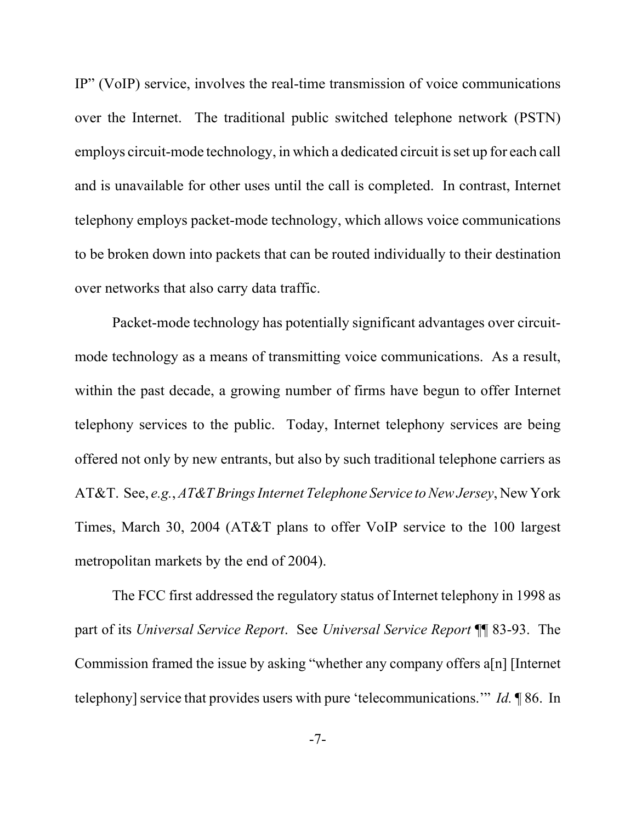IP" (VoIP) service, involves the real-time transmission of voice communications over the Internet. The traditional public switched telephone network (PSTN) employs circuit-mode technology, in which a dedicated circuit is set up for each call and is unavailable for other uses until the call is completed. In contrast, Internet telephony employs packet-mode technology, which allows voice communications to be broken down into packets that can be routed individually to their destination over networks that also carry data traffic.

Packet-mode technology has potentially significant advantages over circuitmode technology as a means of transmitting voice communications. As a result, within the past decade, a growing number of firms have begun to offer Internet telephony services to the public. Today, Internet telephony services are being offered not only by new entrants, but also by such traditional telephone carriers as AT&T. See, *e.g.*, *AT&T Brings Internet Telephone Service to New Jersey*, New York Times, March 30, 2004 (AT&T plans to offer VoIP service to the 100 largest metropolitan markets by the end of 2004).

The FCC first addressed the regulatory status of Internet telephony in 1998 as part of its *Universal Service Report*. See *Universal Service Report* ¶¶ 83-93. The Commission framed the issue by asking "whether any company offers a[n] [Internet telephony] service that provides users with pure 'telecommunications.'" *Id.* ¶ 86. In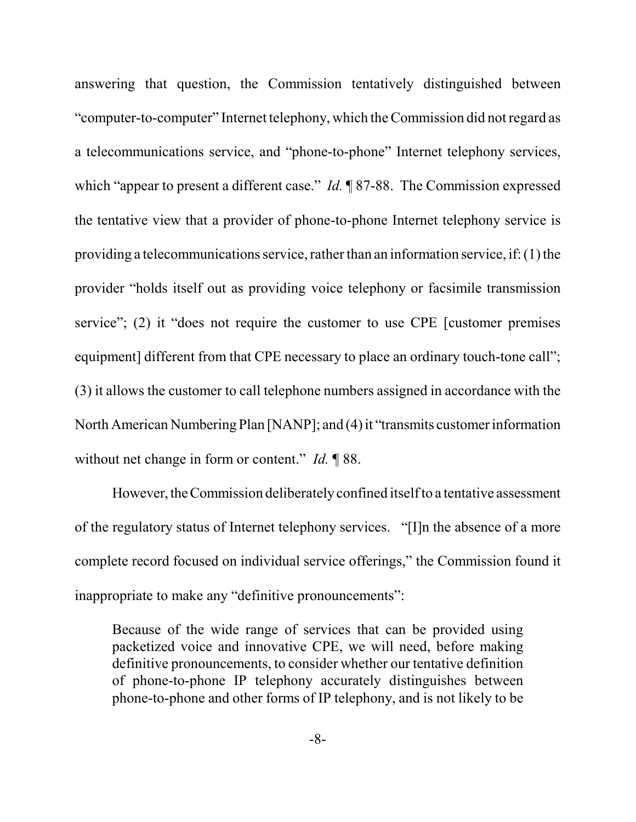answering that question, the Commission tentatively distinguished between "computer-to-computer" Internet telephony, which the Commission did not regard as a telecommunications service, and "phone-to-phone" Internet telephony services, which "appear to present a different case." *Id.* 987-88. The Commission expressed the tentative view that a provider of phone-to-phone Internet telephony service is providing a telecommunications service, rather than an information service, if: (1) the provider "holds itself out as providing voice telephony or facsimile transmission service"; (2) it "does not require the customer to use CPE [customer premises equipment] different from that CPE necessary to place an ordinary touch-tone call"; (3) it allows the customer to call telephone numbers assigned in accordance with the North American Numbering Plan [NANP]; and (4) it "transmits customer information without net change in form or content." *Id.* ¶ 88.

However, the Commission deliberately confined itself to a tentative assessment of the regulatory status of Internet telephony services. "[I]n the absence of a more complete record focused on individual service offerings," the Commission found it inappropriate to make any "definitive pronouncements":

Because of the wide range of services that can be provided using packetized voice and innovative CPE, we will need, before making definitive pronouncements, to consider whether our tentative definition of phone-to-phone IP telephony accurately distinguishes between phone-to-phone and other forms of IP telephony, and is not likely to be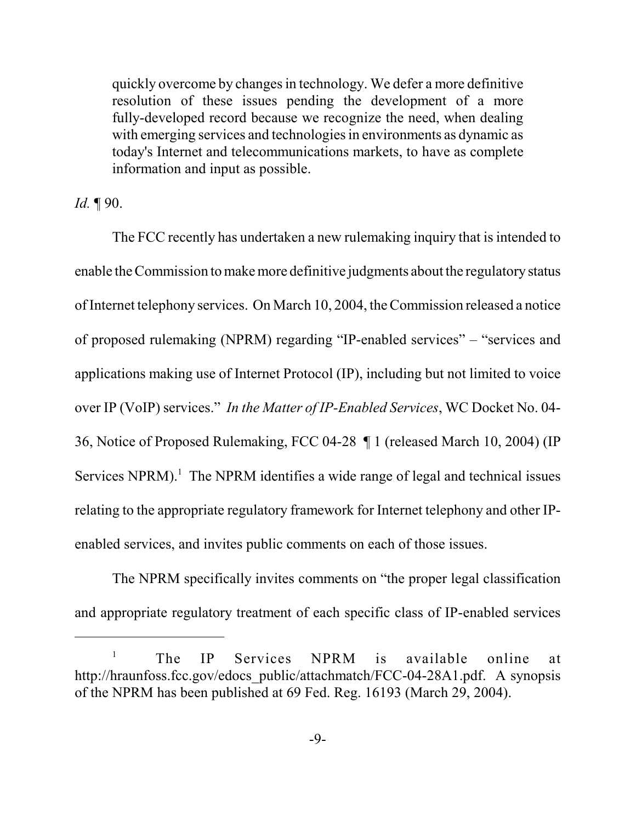quickly overcome by changes in technology. We defer a more definitive resolution of these issues pending the development of a more fully-developed record because we recognize the need, when dealing with emerging services and technologies in environments as dynamic as today's Internet and telecommunications markets, to have as complete information and input as possible.

*Id.* ¶ 90.

The FCC recently has undertaken a new rulemaking inquiry that is intended to enable the Commission to make more definitive judgments about the regulatory status of Internet telephony services. On March 10, 2004, the Commission released a notice of proposed rulemaking (NPRM) regarding "IP-enabled services" – "services and applications making use of Internet Protocol (IP), including but not limited to voice over IP (VoIP) services." *In the Matter of IP-Enabled Services*, WC Docket No. 04- 36, Notice of Proposed Rulemaking, FCC 04-28 ¶ 1 (released March 10, 2004) (IP Services NPRM).<sup>1</sup> The NPRM identifies a wide range of legal and technical issues relating to the appropriate regulatory framework for Internet telephony and other IPenabled services, and invites public comments on each of those issues.

The NPRM specifically invites comments on "the proper legal classification and appropriate regulatory treatment of each specific class of IP-enabled services

<sup>1</sup> The IP Services NPRM is available online at http://hraunfoss.fcc.gov/edocs\_public/attachmatch/FCC-04-28A1.pdf. A synopsis of the NPRM has been published at 69 Fed. Reg. 16193 (March 29, 2004).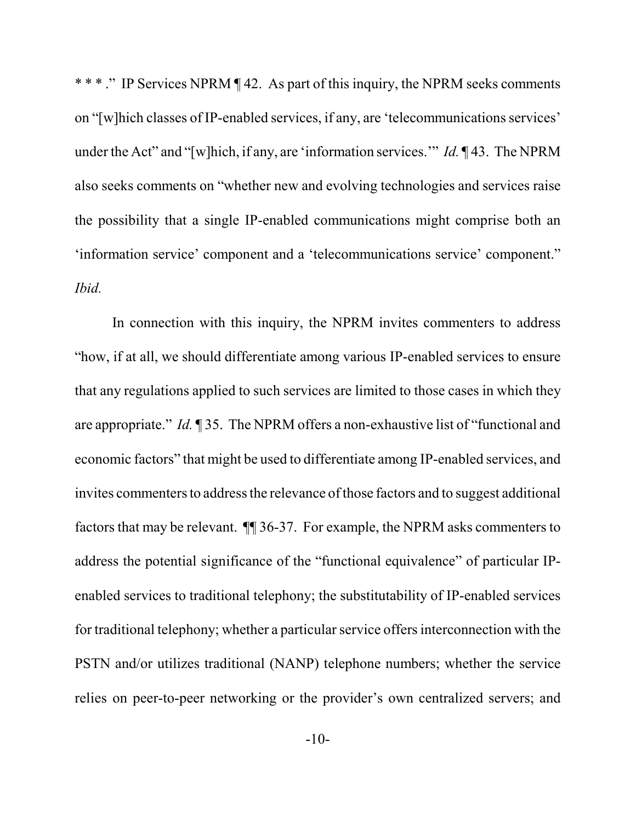\* \* \* ." IP Services NPRM ¶ 42. As part of this inquiry, the NPRM seeks comments on "[w]hich classes of IP-enabled services, if any, are 'telecommunications services' under the Act" and "[w]hich, if any, are 'information services.'" *Id.* ¶ 43. The NPRM also seeks comments on "whether new and evolving technologies and services raise the possibility that a single IP-enabled communications might comprise both an 'information service' component and a 'telecommunications service' component." *Ibid.*

In connection with this inquiry, the NPRM invites commenters to address "how, if at all, we should differentiate among various IP-enabled services to ensure that any regulations applied to such services are limited to those cases in which they are appropriate." *Id.* ¶ 35. The NPRM offers a non-exhaustive list of "functional and economic factors" that might be used to differentiate among IP-enabled services, and invites commenters to address the relevance of those factors and to suggest additional factors that may be relevant. ¶¶ 36-37. For example, the NPRM asks commenters to address the potential significance of the "functional equivalence" of particular IPenabled services to traditional telephony; the substitutability of IP-enabled services for traditional telephony; whether a particular service offers interconnection with the PSTN and/or utilizes traditional (NANP) telephone numbers; whether the service relies on peer-to-peer networking or the provider's own centralized servers; and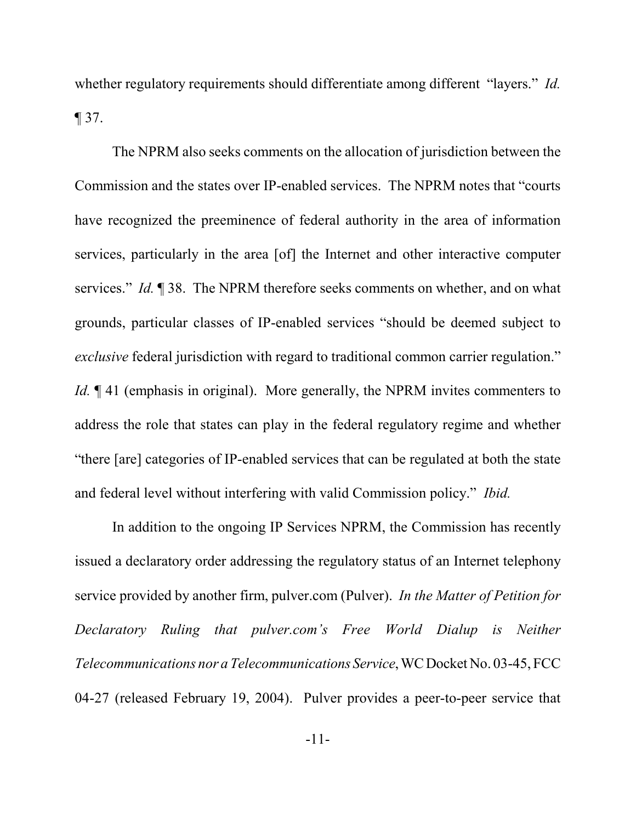whether regulatory requirements should differentiate among different "layers." *Id.* ¶ 37.

The NPRM also seeks comments on the allocation of jurisdiction between the Commission and the states over IP-enabled services. The NPRM notes that "courts have recognized the preeminence of federal authority in the area of information services, particularly in the area [of] the Internet and other interactive computer services." *Id.* ¶ 38. The NPRM therefore seeks comments on whether, and on what grounds, particular classes of IP-enabled services "should be deemed subject to *exclusive* federal jurisdiction with regard to traditional common carrier regulation." *Id.*  $\mathbb{I}$  41 (emphasis in original). More generally, the NPRM invites commenters to address the role that states can play in the federal regulatory regime and whether "there [are] categories of IP-enabled services that can be regulated at both the state and federal level without interfering with valid Commission policy." *Ibid.*

In addition to the ongoing IP Services NPRM, the Commission has recently issued a declaratory order addressing the regulatory status of an Internet telephony service provided by another firm, pulver.com (Pulver). *In the Matter of Petition for Declaratory Ruling that pulver.com's Free World Dialup is Neither Telecommunications nor a Telecommunications Service*, WC Docket No. 03-45, FCC 04-27 (released February 19, 2004). Pulver provides a peer-to-peer service that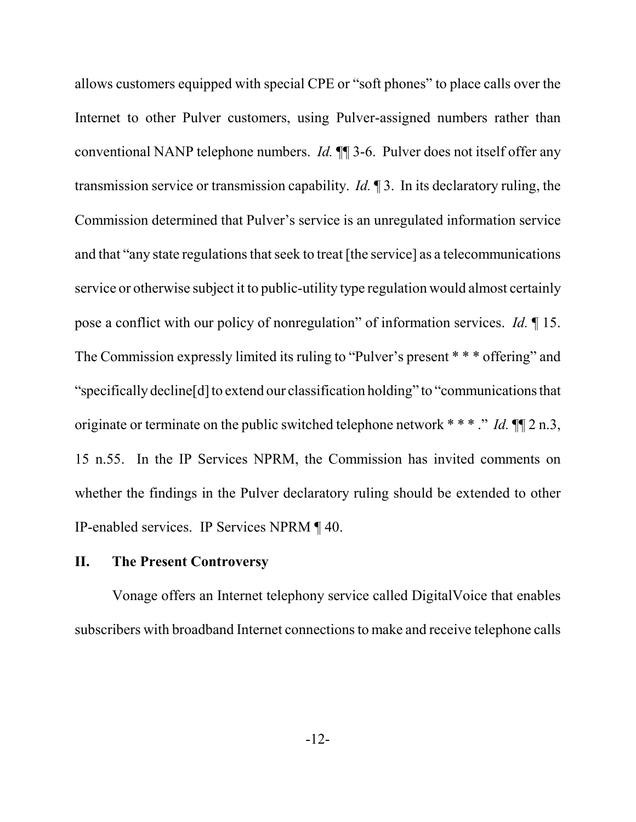allows customers equipped with special CPE or "soft phones" to place calls over the Internet to other Pulver customers, using Pulver-assigned numbers rather than conventional NANP telephone numbers. *Id.* ¶¶ 3-6. Pulver does not itself offer any transmission service or transmission capability. *Id.* ¶ 3. In its declaratory ruling, the Commission determined that Pulver's service is an unregulated information service and that "any state regulations that seek to treat [the service] as a telecommunications service or otherwise subject it to public-utility type regulation would almost certainly pose a conflict with our policy of nonregulation" of information services. *Id.* ¶ 15. The Commission expressly limited its ruling to "Pulver's present \* \* \* offering" and "specifically decline[d] to extend our classification holding" to "communications that originate or terminate on the public switched telephone network \* \* \* ." *Id.* ¶¶ 2 n.3, 15 n.55. In the IP Services NPRM, the Commission has invited comments on whether the findings in the Pulver declaratory ruling should be extended to other IP-enabled services. IP Services NPRM ¶ 40.

### **II. The Present Controversy**

Vonage offers an Internet telephony service called DigitalVoice that enables subscribers with broadband Internet connections to make and receive telephone calls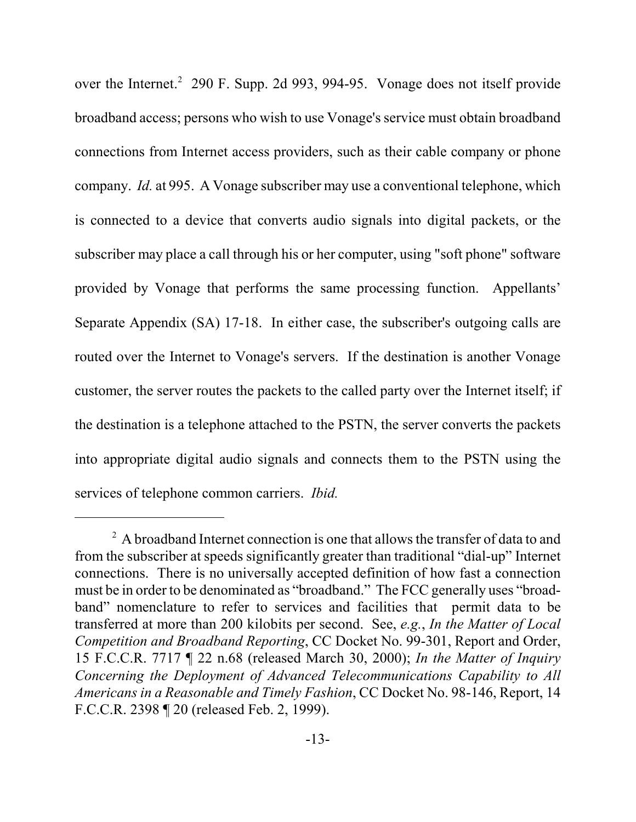over the Internet.<sup>2</sup> 290 F. Supp. 2d 993, 994-95. Vonage does not itself provide broadband access; persons who wish to use Vonage's service must obtain broadband connections from Internet access providers, such as their cable company or phone company. *Id.* at 995. A Vonage subscriber may use a conventional telephone, which is connected to a device that converts audio signals into digital packets, or the subscriber may place a call through his or her computer, using "soft phone" software provided by Vonage that performs the same processing function. Appellants' Separate Appendix (SA) 17-18. In either case, the subscriber's outgoing calls are routed over the Internet to Vonage's servers. If the destination is another Vonage customer, the server routes the packets to the called party over the Internet itself; if the destination is a telephone attached to the PSTN, the server converts the packets into appropriate digital audio signals and connects them to the PSTN using the services of telephone common carriers. *Ibid.*

 $2$  A broadband Internet connection is one that allows the transfer of data to and from the subscriber at speeds significantly greater than traditional "dial-up" Internet connections. There is no universally accepted definition of how fast a connection must be in order to be denominated as "broadband." The FCC generally uses "broadband" nomenclature to refer to services and facilities that permit data to be transferred at more than 200 kilobits per second. See, *e.g.*, *In the Matter of Local Competition and Broadband Reporting*, CC Docket No. 99-301, Report and Order, 15 F.C.C.R. 7717 ¶ 22 n.68 (released March 30, 2000); *In the Matter of Inquiry Concerning the Deployment of Advanced Telecommunications Capability to All Americans in a Reasonable and Timely Fashion*, CC Docket No. 98-146, Report, 14 F.C.C.R. 2398 ¶ 20 (released Feb. 2, 1999).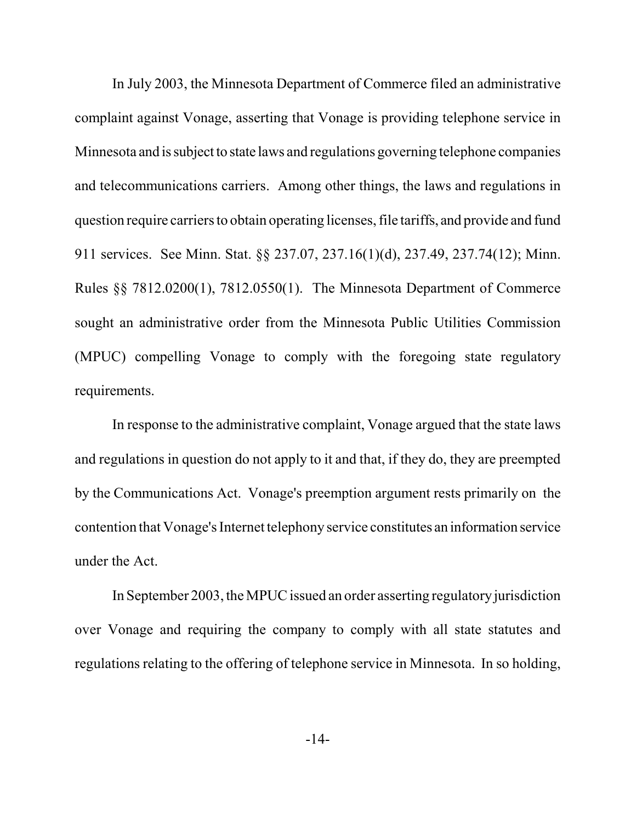In July 2003, the Minnesota Department of Commerce filed an administrative complaint against Vonage, asserting that Vonage is providing telephone service in Minnesota and is subject to state laws and regulations governing telephone companies and telecommunications carriers. Among other things, the laws and regulations in question require carriers to obtain operating licenses, file tariffs, and provide and fund 911 services. See Minn. Stat. §§ 237.07, 237.16(1)(d), 237.49, 237.74(12); Minn. Rules §§ 7812.0200(1), 7812.0550(1). The Minnesota Department of Commerce sought an administrative order from the Minnesota Public Utilities Commission (MPUC) compelling Vonage to comply with the foregoing state regulatory requirements.

In response to the administrative complaint, Vonage argued that the state laws and regulations in question do not apply to it and that, if they do, they are preempted by the Communications Act. Vonage's preemption argument rests primarily on the contention that Vonage's Internet telephony service constitutes an information service under the Act.

In September 2003, the MPUC issued an order asserting regulatory jurisdiction over Vonage and requiring the company to comply with all state statutes and regulations relating to the offering of telephone service in Minnesota. In so holding,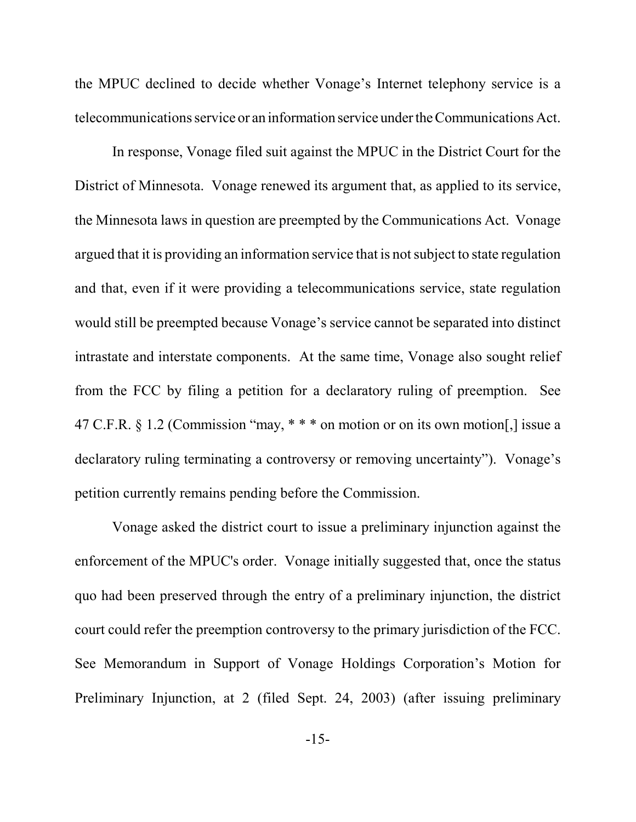the MPUC declined to decide whether Vonage's Internet telephony service is a telecommunications service or an information service under the Communications Act.

In response, Vonage filed suit against the MPUC in the District Court for the District of Minnesota. Vonage renewed its argument that, as applied to its service, the Minnesota laws in question are preempted by the Communications Act. Vonage argued that it is providing an information service that is not subject to state regulation and that, even if it were providing a telecommunications service, state regulation would still be preempted because Vonage's service cannot be separated into distinct intrastate and interstate components. At the same time, Vonage also sought relief from the FCC by filing a petition for a declaratory ruling of preemption. See 47 C.F.R. § 1.2 (Commission "may, \* \* \* on motion or on its own motion[,] issue a declaratory ruling terminating a controversy or removing uncertainty"). Vonage's petition currently remains pending before the Commission.

Vonage asked the district court to issue a preliminary injunction against the enforcement of the MPUC's order. Vonage initially suggested that, once the status quo had been preserved through the entry of a preliminary injunction, the district court could refer the preemption controversy to the primary jurisdiction of the FCC. See Memorandum in Support of Vonage Holdings Corporation's Motion for Preliminary Injunction, at 2 (filed Sept. 24, 2003) (after issuing preliminary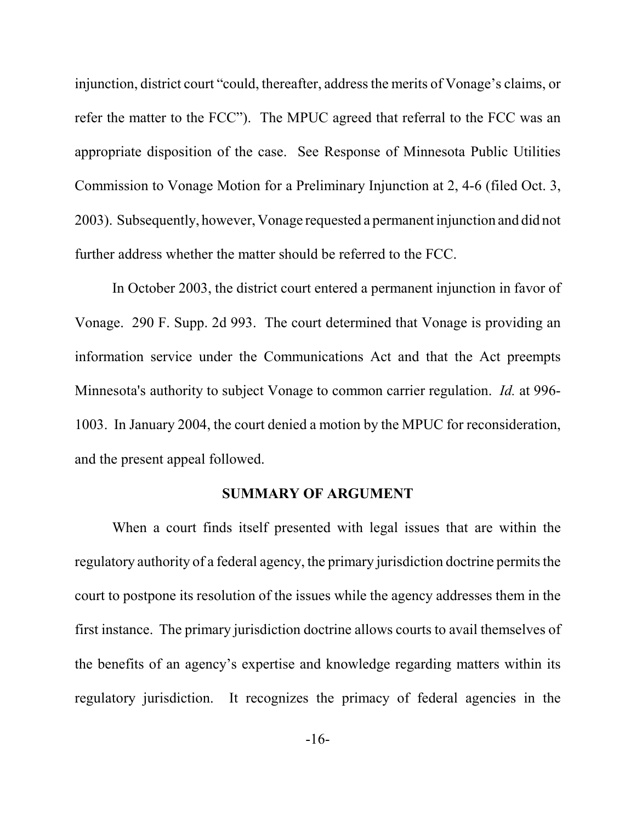injunction, district court "could, thereafter, address the merits of Vonage's claims, or refer the matter to the FCC"). The MPUC agreed that referral to the FCC was an appropriate disposition of the case. See Response of Minnesota Public Utilities Commission to Vonage Motion for a Preliminary Injunction at 2, 4-6 (filed Oct. 3, 2003). Subsequently, however, Vonage requested a permanent injunction and did not further address whether the matter should be referred to the FCC.

In October 2003, the district court entered a permanent injunction in favor of Vonage. 290 F. Supp. 2d 993. The court determined that Vonage is providing an information service under the Communications Act and that the Act preempts Minnesota's authority to subject Vonage to common carrier regulation. *Id.* at 996- 1003. In January 2004, the court denied a motion by the MPUC for reconsideration, and the present appeal followed.

#### **SUMMARY OF ARGUMENT**

When a court finds itself presented with legal issues that are within the regulatory authority of a federal agency, the primary jurisdiction doctrine permits the court to postpone its resolution of the issues while the agency addresses them in the first instance. The primary jurisdiction doctrine allows courts to avail themselves of the benefits of an agency's expertise and knowledge regarding matters within its regulatory jurisdiction. It recognizes the primacy of federal agencies in the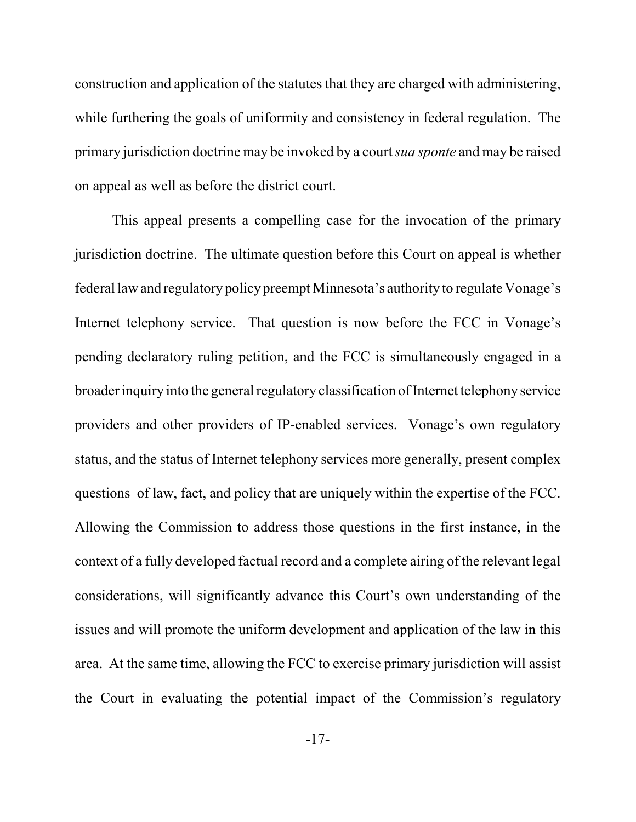construction and application of the statutes that they are charged with administering, while furthering the goals of uniformity and consistency in federal regulation. The primary jurisdiction doctrine may be invoked by a court *sua sponte* and may be raised on appeal as well as before the district court.

This appeal presents a compelling case for the invocation of the primary jurisdiction doctrine. The ultimate question before this Court on appeal is whether federal law and regulatory policy preempt Minnesota's authority to regulate Vonage's Internet telephony service. That question is now before the FCC in Vonage's pending declaratory ruling petition, and the FCC is simultaneously engaged in a broader inquiry into the general regulatory classification of Internet telephony service providers and other providers of IP-enabled services. Vonage's own regulatory status, and the status of Internet telephony services more generally, present complex questions of law, fact, and policy that are uniquely within the expertise of the FCC. Allowing the Commission to address those questions in the first instance, in the context of a fully developed factual record and a complete airing of the relevant legal considerations, will significantly advance this Court's own understanding of the issues and will promote the uniform development and application of the law in this area. At the same time, allowing the FCC to exercise primary jurisdiction will assist the Court in evaluating the potential impact of the Commission's regulatory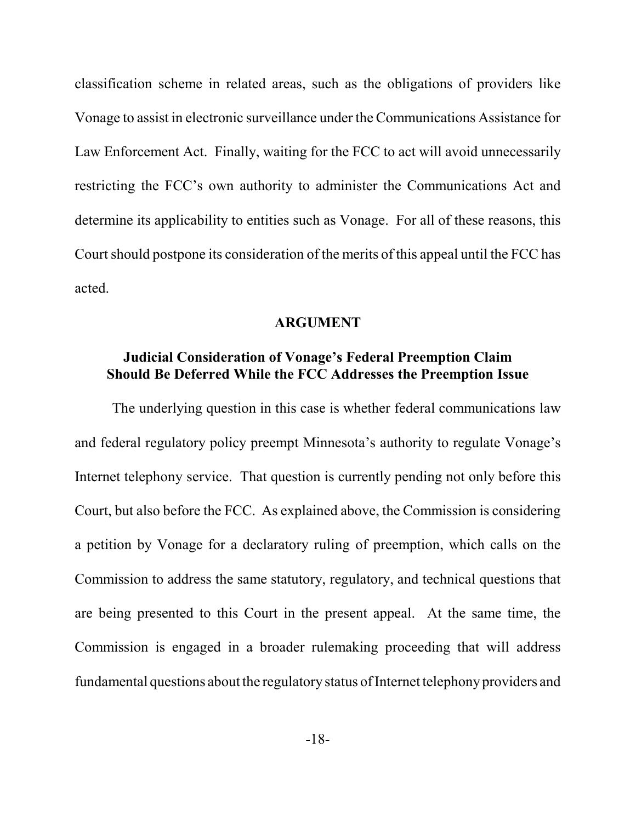classification scheme in related areas, such as the obligations of providers like Vonage to assist in electronic surveillance under the Communications Assistance for Law Enforcement Act. Finally, waiting for the FCC to act will avoid unnecessarily restricting the FCC's own authority to administer the Communications Act and determine its applicability to entities such as Vonage. For all of these reasons, this Court should postpone its consideration of the merits of this appeal until the FCC has acted.

#### **ARGUMENT**

## **Judicial Consideration of Vonage's Federal Preemption Claim Should Be Deferred While the FCC Addresses the Preemption Issue**

The underlying question in this case is whether federal communications law and federal regulatory policy preempt Minnesota's authority to regulate Vonage's Internet telephony service. That question is currently pending not only before this Court, but also before the FCC. As explained above, the Commission is considering a petition by Vonage for a declaratory ruling of preemption, which calls on the Commission to address the same statutory, regulatory, and technical questions that are being presented to this Court in the present appeal. At the same time, the Commission is engaged in a broader rulemaking proceeding that will address fundamental questions about the regulatory status of Internet telephony providers and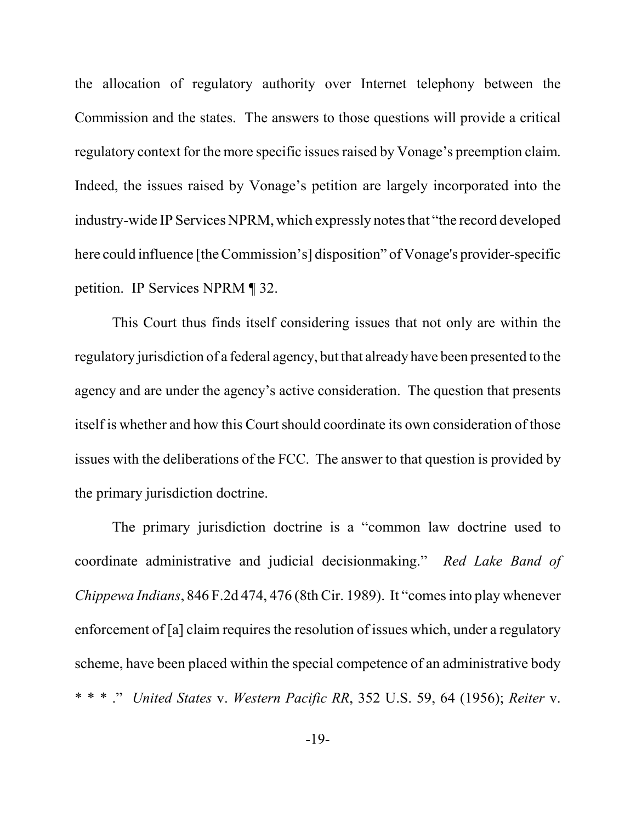the allocation of regulatory authority over Internet telephony between the Commission and the states. The answers to those questions will provide a critical regulatory context for the more specific issues raised by Vonage's preemption claim. Indeed, the issues raised by Vonage's petition are largely incorporated into the industry-wide IP Services NPRM, which expressly notes that "the record developed here could influence [the Commission's] disposition" of Vonage's provider-specific petition. IP Services NPRM ¶ 32.

This Court thus finds itself considering issues that not only are within the regulatory jurisdiction of a federal agency, but that already have been presented to the agency and are under the agency's active consideration. The question that presents itself is whether and how this Court should coordinate its own consideration of those issues with the deliberations of the FCC. The answer to that question is provided by the primary jurisdiction doctrine.

The primary jurisdiction doctrine is a "common law doctrine used to coordinate administrative and judicial decisionmaking." *Red Lake Band of Chippewa Indians*, 846 F.2d 474, 476 (8th Cir. 1989). It "comes into play whenever enforcement of [a] claim requires the resolution of issues which, under a regulatory scheme, have been placed within the special competence of an administrative body \* \* \* ." *United States* v. *Western Pacific RR*, 352 U.S. 59, 64 (1956); *Reiter* v.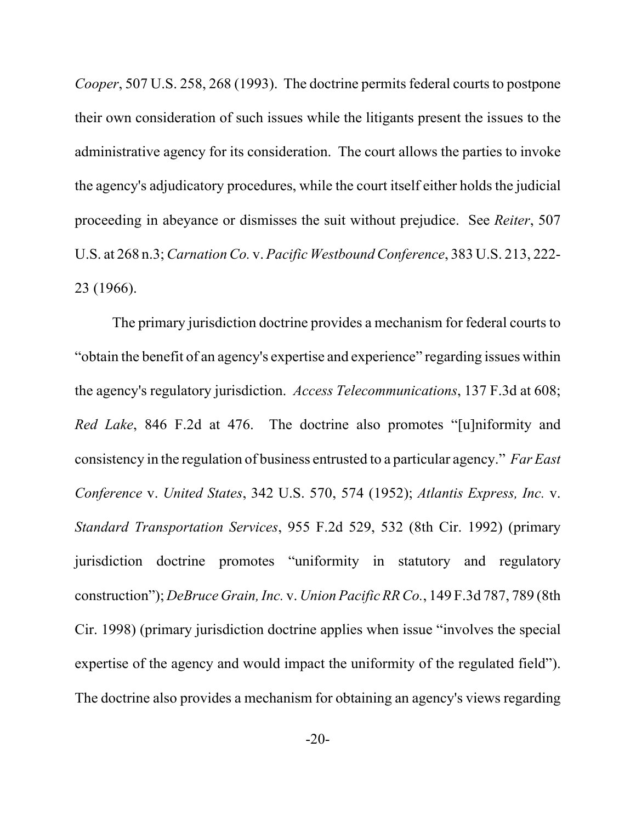*Cooper*, 507 U.S. 258, 268 (1993). The doctrine permits federal courts to postpone their own consideration of such issues while the litigants present the issues to the administrative agency for its consideration. The court allows the parties to invoke the agency's adjudicatory procedures, while the court itself either holds the judicial proceeding in abeyance or dismisses the suit without prejudice. See *Reiter*, 507 U.S. at 268 n.3; *Carnation Co.* v. *Pacific Westbound Conference*, 383 U.S. 213, 222- 23 (1966).

The primary jurisdiction doctrine provides a mechanism for federal courts to "obtain the benefit of an agency's expertise and experience" regarding issues within the agency's regulatory jurisdiction. *Access Telecommunications*, 137 F.3d at 608; *Red Lake*, 846 F.2d at 476. The doctrine also promotes "[u]niformity and consistency in the regulation of business entrusted to a particular agency." *Far East Conference* v. *United States*, 342 U.S. 570, 574 (1952); *Atlantis Express, Inc.* v. *Standard Transportation Services*, 955 F.2d 529, 532 (8th Cir. 1992) (primary jurisdiction doctrine promotes "uniformity in statutory and regulatory construction"); *DeBruce Grain, Inc.* v. *Union Pacific RR Co.*, 149 F.3d 787, 789 (8th Cir. 1998) (primary jurisdiction doctrine applies when issue "involves the special expertise of the agency and would impact the uniformity of the regulated field"). The doctrine also provides a mechanism for obtaining an agency's views regarding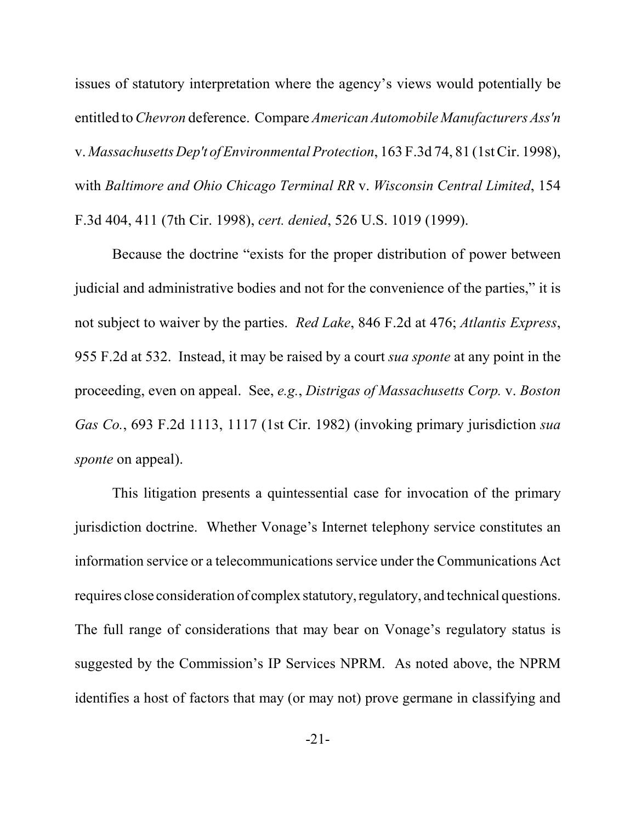issues of statutory interpretation where the agency's views would potentially be entitled to *Chevron* deference. Compare *American Automobile Manufacturers Ass'n* v. *Massachusetts Dep't of Environmental Protection*, 163 F.3d 74, 81 (1st Cir. 1998), with *Baltimore and Ohio Chicago Terminal RR* v. *Wisconsin Central Limited*, 154 F.3d 404, 411 (7th Cir. 1998), *cert. denied*, 526 U.S. 1019 (1999).

Because the doctrine "exists for the proper distribution of power between judicial and administrative bodies and not for the convenience of the parties," it is not subject to waiver by the parties. *Red Lake*, 846 F.2d at 476; *Atlantis Express*, 955 F.2d at 532. Instead, it may be raised by a court *sua sponte* at any point in the proceeding, even on appeal. See, *e.g.*, *Distrigas of Massachusetts Corp.* v. *Boston Gas Co.*, 693 F.2d 1113, 1117 (1st Cir. 1982) (invoking primary jurisdiction *sua sponte* on appeal).

This litigation presents a quintessential case for invocation of the primary jurisdiction doctrine. Whether Vonage's Internet telephony service constitutes an information service or a telecommunications service under the Communications Act requires close consideration of complex statutory, regulatory, and technical questions. The full range of considerations that may bear on Vonage's regulatory status is suggested by the Commission's IP Services NPRM. As noted above, the NPRM identifies a host of factors that may (or may not) prove germane in classifying and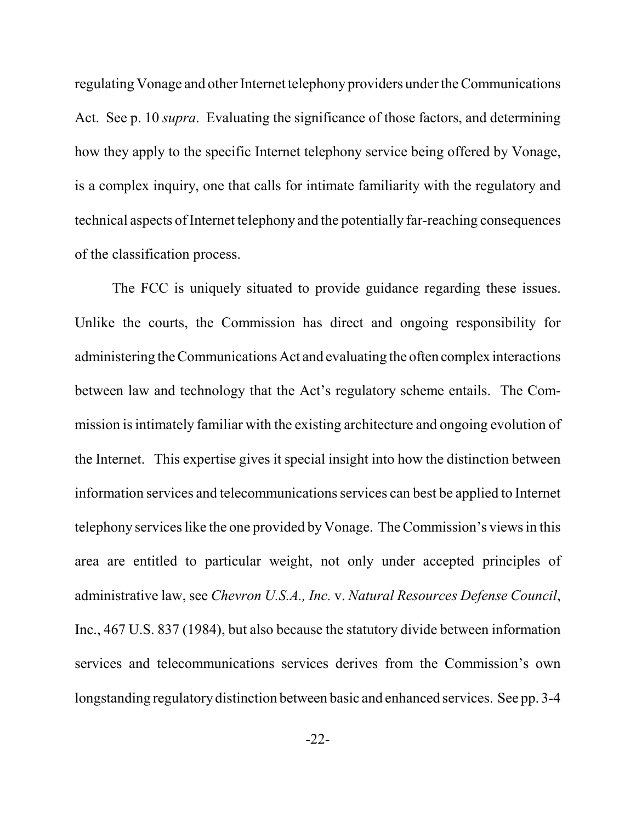regulating Vonage and other Internet telephony providers under the Communications Act. See p. 10 *supra*. Evaluating the significance of those factors, and determining how they apply to the specific Internet telephony service being offered by Vonage, is a complex inquiry, one that calls for intimate familiarity with the regulatory and technical aspects of Internet telephony and the potentially far-reaching consequences of the classification process.

The FCC is uniquely situated to provide guidance regarding these issues. Unlike the courts, the Commission has direct and ongoing responsibility for administering the Communications Act and evaluating the often complex interactions between law and technology that the Act's regulatory scheme entails. The Commission is intimately familiar with the existing architecture and ongoing evolution of the Internet. This expertise gives it special insight into how the distinction between information services and telecommunications services can best be applied to Internet telephony services like the one provided by Vonage. The Commission's views in this area are entitled to particular weight, not only under accepted principles of administrative law, see *Chevron U.S.A., Inc.* v. *Natural Resources Defense Council*, Inc., 467 U.S. 837 (1984), but also because the statutory divide between information services and telecommunications services derives from the Commission's own longstanding regulatory distinction between basic and enhanced services. See pp. 3-4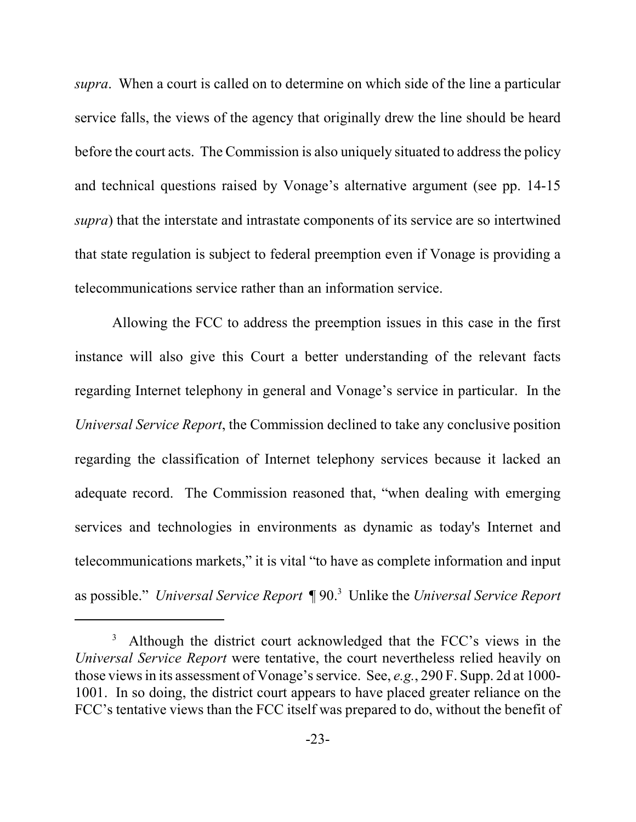*supra*. When a court is called on to determine on which side of the line a particular service falls, the views of the agency that originally drew the line should be heard before the court acts. The Commission is also uniquely situated to address the policy and technical questions raised by Vonage's alternative argument (see pp. 14-15 *supra*) that the interstate and intrastate components of its service are so intertwined that state regulation is subject to federal preemption even if Vonage is providing a telecommunications service rather than an information service.

Allowing the FCC to address the preemption issues in this case in the first instance will also give this Court a better understanding of the relevant facts regarding Internet telephony in general and Vonage's service in particular. In the *Universal Service Report*, the Commission declined to take any conclusive position regarding the classification of Internet telephony services because it lacked an adequate record. The Commission reasoned that, "when dealing with emerging services and technologies in environments as dynamic as today's Internet and telecommunications markets," it is vital "to have as complete information and input as possible." *Universal Service Report* ¶ 90.3 Unlike the *Universal Service Report*

<sup>&</sup>lt;sup>3</sup> Although the district court acknowledged that the FCC's views in the *Universal Service Report* were tentative, the court nevertheless relied heavily on those views in its assessment of Vonage's service. See, *e.g.*, 290 F. Supp. 2d at 1000- 1001. In so doing, the district court appears to have placed greater reliance on the FCC's tentative views than the FCC itself was prepared to do, without the benefit of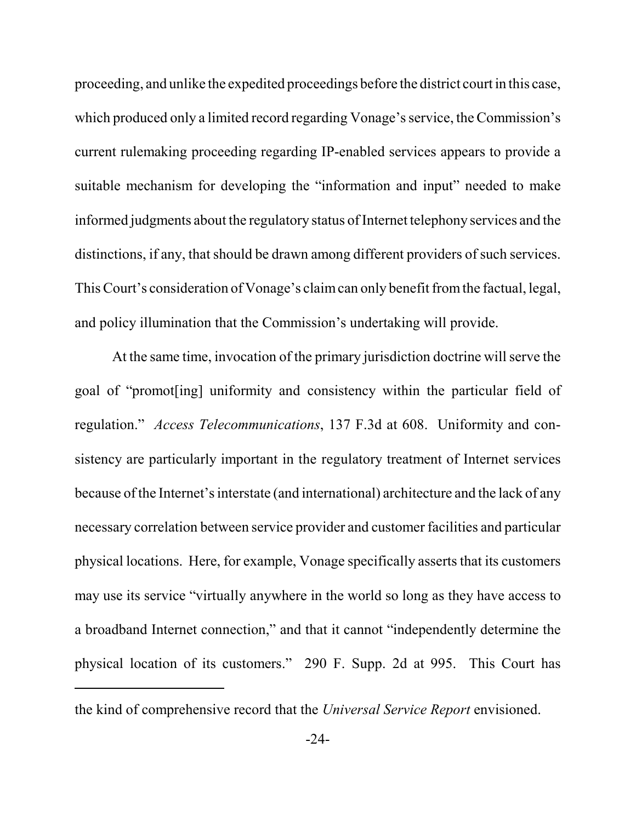proceeding, and unlike the expedited proceedings before the district court in this case, which produced only a limited record regarding Vonage's service, the Commission's current rulemaking proceeding regarding IP-enabled services appears to provide a suitable mechanism for developing the "information and input" needed to make informed judgments about the regulatory status of Internet telephony services and the distinctions, if any, that should be drawn among different providers of such services. This Court's consideration of Vonage's claim can only benefit from the factual, legal, and policy illumination that the Commission's undertaking will provide.

At the same time, invocation of the primary jurisdiction doctrine will serve the goal of "promot[ing] uniformity and consistency within the particular field of regulation." *Access Telecommunications*, 137 F.3d at 608. Uniformity and consistency are particularly important in the regulatory treatment of Internet services because of the Internet's interstate (and international) architecture and the lack of any necessary correlation between service provider and customer facilities and particular physical locations. Here, for example, Vonage specifically asserts that its customers may use its service "virtually anywhere in the world so long as they have access to a broadband Internet connection," and that it cannot "independently determine the physical location of its customers." 290 F. Supp. 2d at 995. This Court has

the kind of comprehensive record that the *Universal Service Report* envisioned.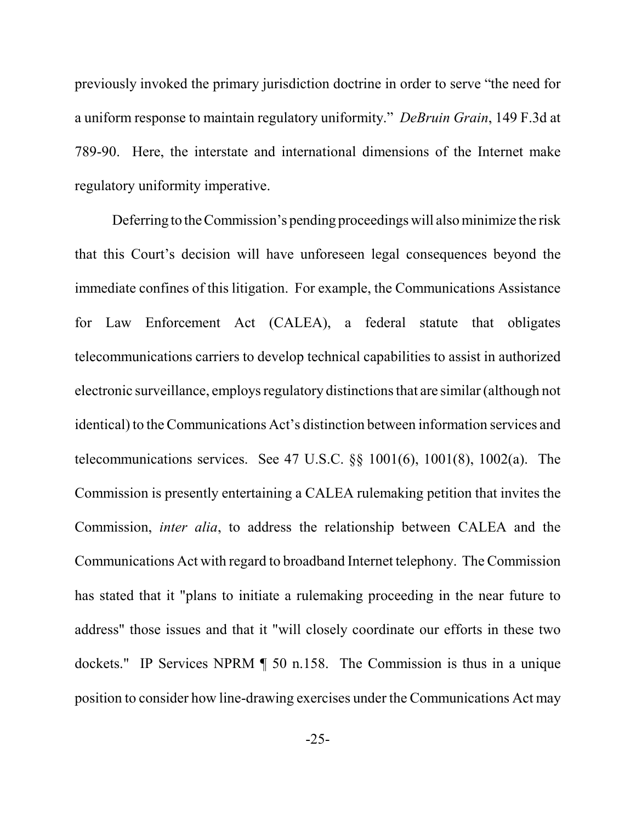previously invoked the primary jurisdiction doctrine in order to serve "the need for a uniform response to maintain regulatory uniformity." *DeBruin Grain*, 149 F.3d at 789-90. Here, the interstate and international dimensions of the Internet make regulatory uniformity imperative.

Deferring to the Commission's pending proceedings will also minimize the risk that this Court's decision will have unforeseen legal consequences beyond the immediate confines of this litigation. For example, the Communications Assistance for Law Enforcement Act (CALEA), a federal statute that obligates telecommunications carriers to develop technical capabilities to assist in authorized electronic surveillance, employs regulatory distinctions that are similar (although not identical) to the Communications Act's distinction between information services and telecommunications services. See 47 U.S.C. §§ 1001(6), 1001(8), 1002(a). The Commission is presently entertaining a CALEA rulemaking petition that invites the Commission, *inter alia*, to address the relationship between CALEA and the Communications Act with regard to broadband Internet telephony. The Commission has stated that it "plans to initiate a rulemaking proceeding in the near future to address" those issues and that it "will closely coordinate our efforts in these two dockets." IP Services NPRM ¶ 50 n.158. The Commission is thus in a unique position to consider how line-drawing exercises under the Communications Act may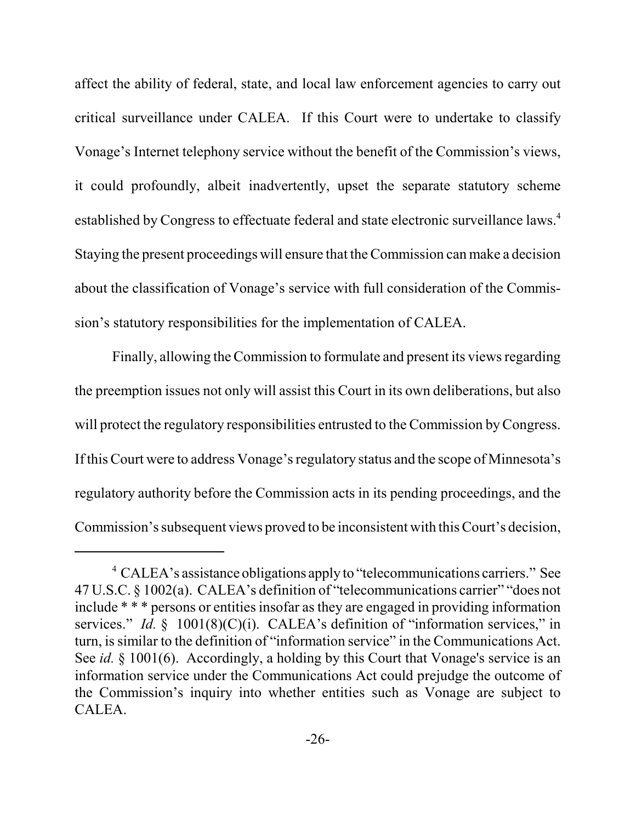affect the ability of federal, state, and local law enforcement agencies to carry out critical surveillance under CALEA. If this Court were to undertake to classify Vonage's Internet telephony service without the benefit of the Commission's views, it could profoundly, albeit inadvertently, upset the separate statutory scheme established by Congress to effectuate federal and state electronic surveillance laws.4 Staying the present proceedings will ensure that the Commission can make a decision about the classification of Vonage's service with full consideration of the Commission's statutory responsibilities for the implementation of CALEA.

Finally, allowing the Commission to formulate and present its views regarding the preemption issues not only will assist this Court in its own deliberations, but also will protect the regulatory responsibilities entrusted to the Commission by Congress. If this Court were to address Vonage's regulatory status and the scope of Minnesota's regulatory authority before the Commission acts in its pending proceedings, and the Commission's subsequent views proved to be inconsistent with this Court's decision,

<sup>&</sup>lt;sup>4</sup> CALEA's assistance obligations apply to "telecommunications carriers." See 47 U.S.C. § 1002(a). CALEA's definition of "telecommunications carrier" "does not include \* \* \* persons or entities insofar as they are engaged in providing information services." *Id.* § 1001(8)(C)(i). CALEA's definition of "information services," in turn, is similar to the definition of "information service" in the Communications Act. See *id.* § 1001(6). Accordingly, a holding by this Court that Vonage's service is an information service under the Communications Act could prejudge the outcome of the Commission's inquiry into whether entities such as Vonage are subject to CALEA.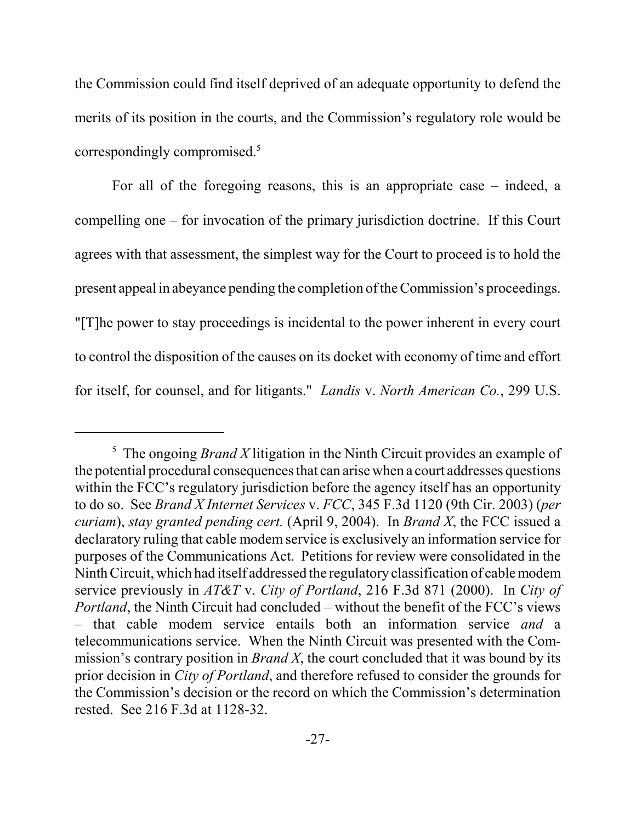the Commission could find itself deprived of an adequate opportunity to defend the merits of its position in the courts, and the Commission's regulatory role would be correspondingly compromised.<sup>5</sup>

For all of the foregoing reasons, this is an appropriate case – indeed, a compelling one – for invocation of the primary jurisdiction doctrine. If this Court agrees with that assessment, the simplest way for the Court to proceed is to hold the present appeal in abeyance pending the completion of the Commission's proceedings. "[T]he power to stay proceedings is incidental to the power inherent in every court to control the disposition of the causes on its docket with economy of time and effort for itself, for counsel, and for litigants." *Landis* v. *North American Co.*, 299 U.S.

<sup>&</sup>lt;sup>5</sup> The ongoing *Brand X* litigation in the Ninth Circuit provides an example of the potential procedural consequences that can arise when a court addresses questions within the FCC's regulatory jurisdiction before the agency itself has an opportunity to do so. See *Brand X Internet Services* v. *FCC*, 345 F.3d 1120 (9th Cir. 2003) (*per curiam*), *stay granted pending cert.* (April 9, 2004). In *Brand X*, the FCC issued a declaratory ruling that cable modem service is exclusively an information service for purposes of the Communications Act. Petitions for review were consolidated in the Ninth Circuit, which had itself addressed the regulatory classification of cable modem service previously in *AT&T* v. *City of Portland*, 216 F.3d 871 (2000). In *City of Portland*, the Ninth Circuit had concluded – without the benefit of the FCC's views – that cable modem service entails both an information service *and* a telecommunications service. When the Ninth Circuit was presented with the Commission's contrary position in *Brand X*, the court concluded that it was bound by its prior decision in *City of Portland*, and therefore refused to consider the grounds for the Commission's decision or the record on which the Commission's determination rested. See 216 F.3d at 1128-32.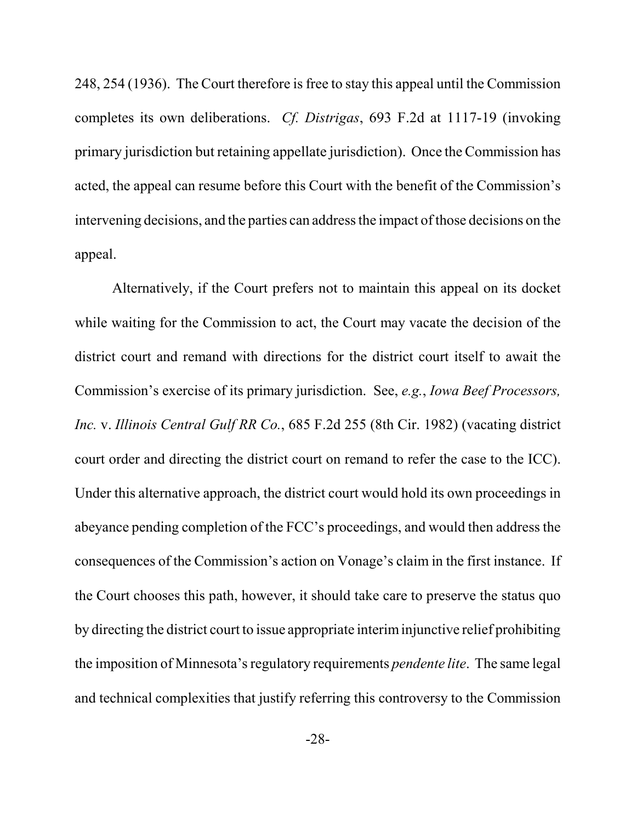248, 254 (1936). The Court therefore is free to stay this appeal until the Commission completes its own deliberations. *Cf. Distrigas*, 693 F.2d at 1117-19 (invoking primary jurisdiction but retaining appellate jurisdiction). Once the Commission has acted, the appeal can resume before this Court with the benefit of the Commission's intervening decisions, and the parties can address the impact of those decisions on the appeal.

Alternatively, if the Court prefers not to maintain this appeal on its docket while waiting for the Commission to act, the Court may vacate the decision of the district court and remand with directions for the district court itself to await the Commission's exercise of its primary jurisdiction. See, *e.g.*, *Iowa Beef Processors, Inc.* v. *Illinois Central Gulf RR Co.*, 685 F.2d 255 (8th Cir. 1982) (vacating district court order and directing the district court on remand to refer the case to the ICC). Under this alternative approach, the district court would hold its own proceedings in abeyance pending completion of the FCC's proceedings, and would then address the consequences of the Commission's action on Vonage's claim in the first instance. If the Court chooses this path, however, it should take care to preserve the status quo by directing the district court to issue appropriate interim injunctive relief prohibiting the imposition of Minnesota's regulatory requirements *pendente lite*. The same legal and technical complexities that justify referring this controversy to the Commission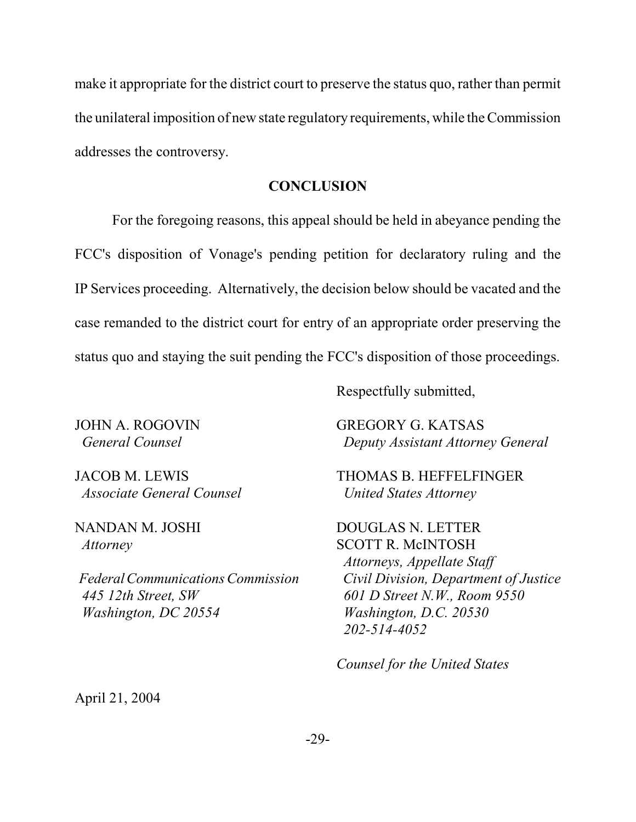make it appropriate for the district court to preserve the status quo, rather than permit the unilateral imposition of new state regulatory requirements, while the Commission addresses the controversy.

### **CONCLUSION**

For the foregoing reasons, this appeal should be held in abeyance pending the FCC's disposition of Vonage's pending petition for declaratory ruling and the IP Services proceeding. Alternatively, the decision below should be vacated and the case remanded to the district court for entry of an appropriate order preserving the status quo and staying the suit pending the FCC's disposition of those proceedings.

Respectfully submitted,

JOHN A. ROGOVIN *General Counsel*

JACOB M. LEWIS *Associate General Counsel*

NANDAN M. JOSHI *Attorney*

 *Federal Communications Commission 445 12th Street, SW Washington, DC 20554* 

GREGORY G. KATSAS *Deputy Assistant Attorney General*

THOMAS B. HEFFELFINGER *United States Attorney*

DOUGLAS N. LETTER SCOTT R. McINTOSH *Attorneys, Appellate Staff Civil Division, Department of Justice 601 D Street N.W., Room 9550 Washington, D.C. 20530 202-514-4052*

*Counsel for the United States*

April 21, 2004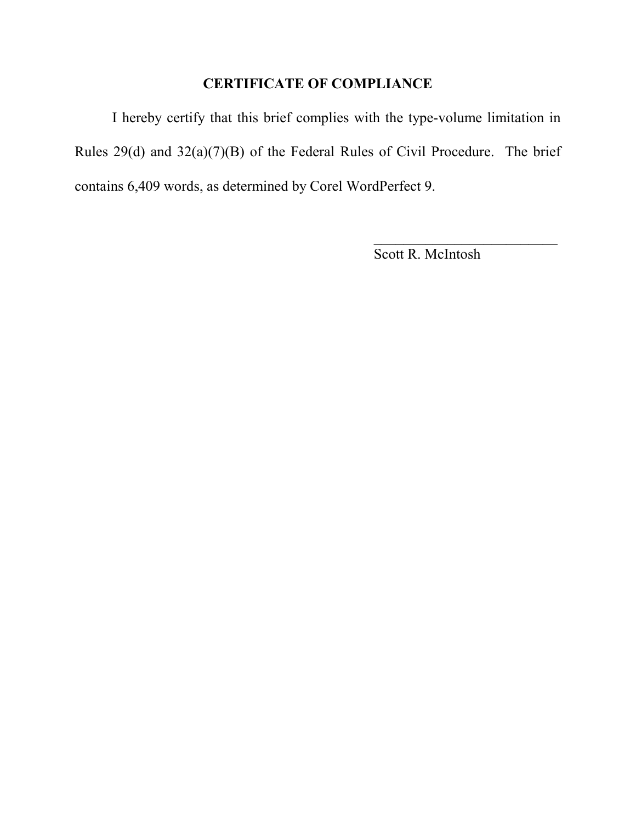# **CERTIFICATE OF COMPLIANCE**

I hereby certify that this brief complies with the type-volume limitation in Rules 29(d) and 32(a)(7)(B) of the Federal Rules of Civil Procedure. The brief contains 6,409 words, as determined by Corel WordPerfect 9.

Scott R. McIntosh

 $\mathcal{L}_\text{max}$  , where  $\mathcal{L}_\text{max}$  , we have the set of  $\mathcal{L}_\text{max}$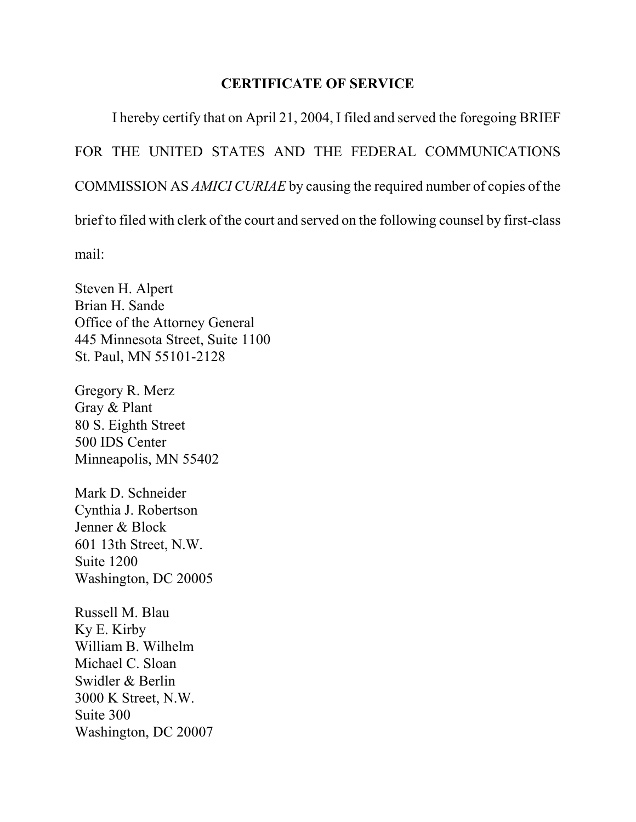### **CERTIFICATE OF SERVICE**

I hereby certify that on April 21, 2004, I filed and served the foregoing BRIEF FOR THE UNITED STATES AND THE FEDERAL COMMUNICATIONS COMMISSION AS *AMICI CURIAE* by causing the required number of copies of the brief to filed with clerk of the court and served on the following counsel by first-class

mail:

Steven H. Alpert Brian H. Sande Office of the Attorney General 445 Minnesota Street, Suite 1100 St. Paul, MN 55101-2128

Gregory R. Merz Gray & Plant 80 S. Eighth Street 500 IDS Center Minneapolis, MN 55402

Mark D. Schneider Cynthia J. Robertson Jenner & Block 601 13th Street, N.W. Suite 1200 Washington, DC 20005

Russell M. Blau Ky E. Kirby William B. Wilhelm Michael C. Sloan Swidler & Berlin 3000 K Street, N.W. Suite 300 Washington, DC 20007